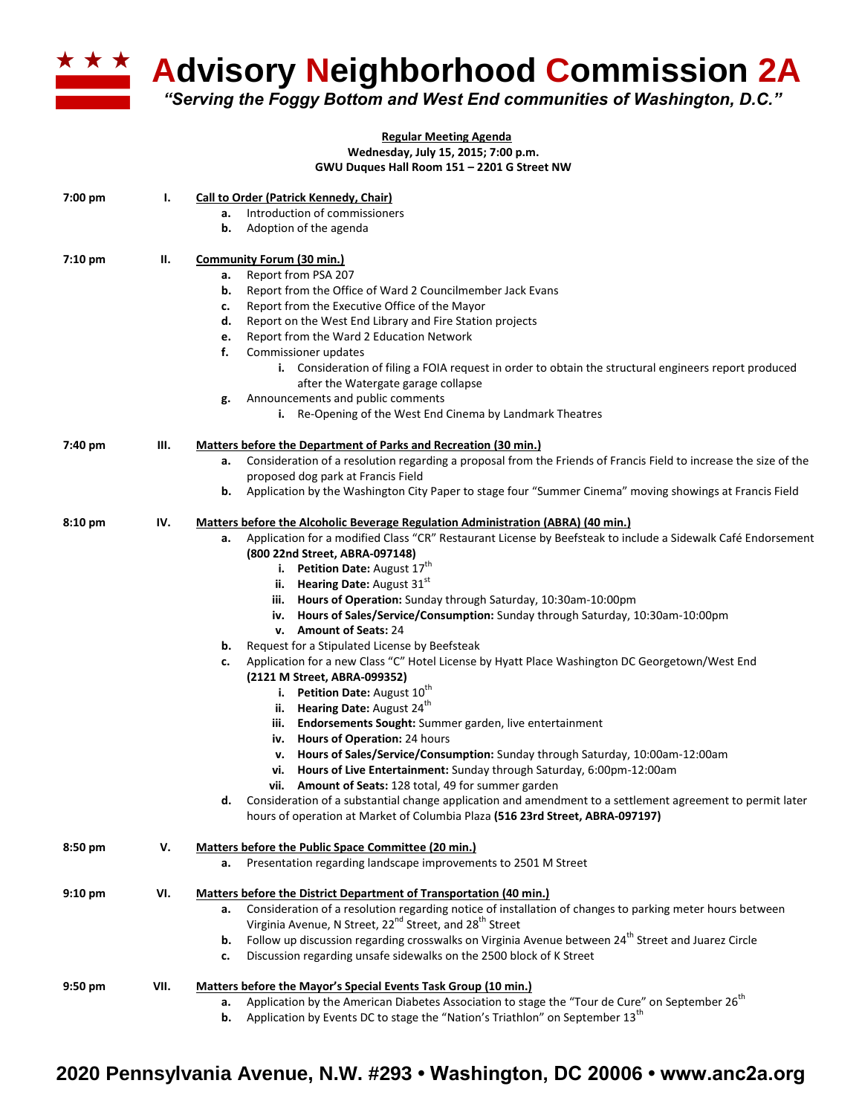

**ADDETER ADDETER ADDETS ADDETERM** ARRY MEIGHBORHOOD Commission 2A

*"Serving the Foggy Bottom and West End communities of Washington, D.C."*

## **Regular Meeting Agenda Wednesday, July 15, 2015; 7:00 p.m. GWU Duques Hall Room 151 – 2201 G Street NW 7:00 pm I. Call to Order (Patrick Kennedy, Chair) a.** Introduction of commissioners **b.** Adoption of the agenda **7:10 pm 7:40 pm II. Community Forum (30 min.) a.** Report from PSA 207 **b.** Report from the Office of Ward 2 Councilmember Jack Evans **c.** Report from the Executive Office of the Mayor **d.** Report on the West End Library and Fire Station projects **e.** Report from the Ward 2 Education Network **f.** Commissioner updates **i.** Consideration of filing a FOIA request in order to obtain the structural engineers report produced after the Watergate garage collapse **g.** Announcements and public comments **i.** Re-Opening of the West End Cinema by Landmark Theatres **III. Matters before the Department of Parks and Recreation (30 min.) a.** Consideration of a resolution regarding a proposal from the Friends of Francis Field to increase the size of the proposed dog park at Francis Field **b.** Application by the Washington City Paper to stage four "Summer Cinema" moving showings at Francis Field **8:10 pm IV. Matters before the Alcoholic Beverage Regulation Administration (ABRA) (40 min.) a.** Application for a modified Class "CR" Restaurant License by Beefsteak to include a Sidewalk Café Endorsement **(800 22nd Street, ABRA-097148) i.** Petition Date: August 17<sup>th</sup> **ii. Hearing Date:** August 31<sup>st</sup> **iii. Hours of Operation:** Sunday through Saturday, 10:30am-10:00pm **iv. Hours of Sales/Service/Consumption:** Sunday through Saturday, 10:30am-10:00pm **v. Amount of Seats:** 24 **b.** Request for a Stipulated License by Beefsteak **c.** Application for a new Class "C" Hotel License by Hyatt Place Washington DC Georgetown/West End **(2121 M Street, ABRA-099352) i. Petition Date:** August 10<sup>th</sup> **ii. Hearing Date:** August 24<sup>th</sup> **iii. Endorsements Sought:** Summer garden, live entertainment **iv. Hours of Operation:** 24 hours **v. Hours of Sales/Service/Consumption:** Sunday through Saturday, 10:00am-12:00am **vi. Hours of Live Entertainment:** Sunday through Saturday, 6:00pm-12:00am **vii. Amount of Seats:** 128 total, 49 for summer garden **d.** Consideration of a substantial change application and amendment to a settlement agreement to permit later hours of operation at Market of Columbia Plaza **(516 23rd Street, ABRA-097197) 8:50 pm 9:10 pm 9:50 pm V. Matters before the Public Space Committee (20 min.) a.** Presentation regarding landscape improvements to 2501 M Street **VI. Matters before the District Department of Transportation (40 min.) a.** Consideration of a resolution regarding notice of installation of changes to parking meter hours between Virginia Avenue, N Street, 22<sup>nd</sup> Street, and 28<sup>th</sup> Street **b.** Follow up discussion regarding crosswalks on Virginia Avenue between 24<sup>th</sup> Street and Juarez Circle **c.** Discussion regarding unsafe sidewalks on the 2500 block of K Street **VII. Matters before the Mayor's Special Events Task Group (10 min.) a.** Application by the American Diabetes Association to stage the "Tour de Cure" on September 26<sup>th</sup>

**b.** Application by Events DC to stage the "Nation's Triathlon" on September 13<sup>th</sup>